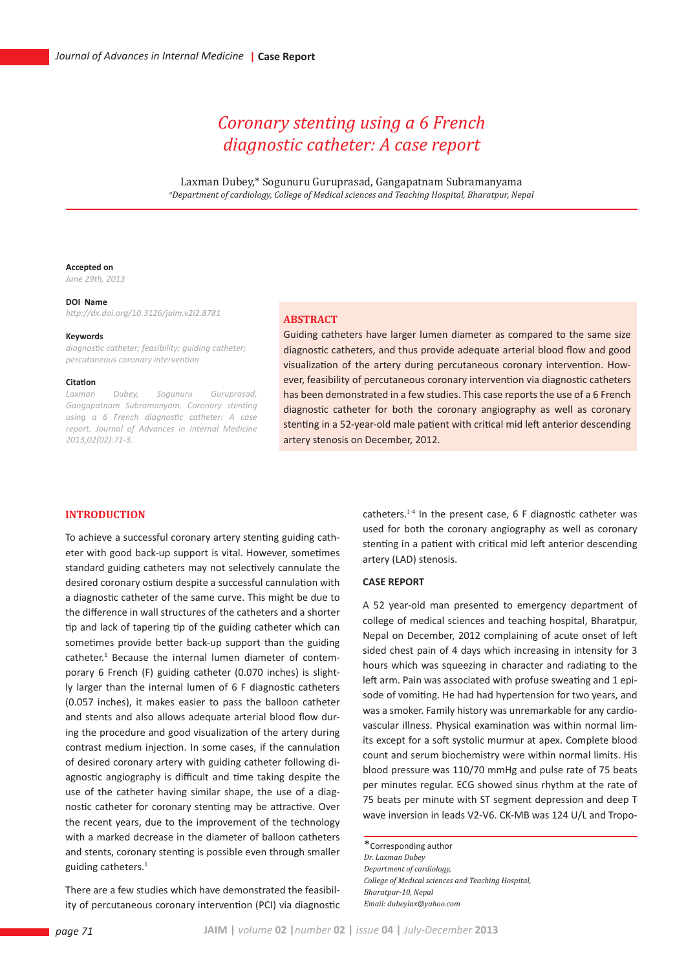# *Coronary stenting using a 6 French diagnostic catheter: A case report*

Laxman Dubey,\* Sogunuru Guruprasad, Gangapatnam Subramanyama *a Department of cardiology, College of Medical sciences and Teaching Hospital, Bharatpur, Nepal*

## **Accepted on**

*June 29th, 2013*

### **DOI Name**

*http://dx.doi.org/10.3126/jaim.v2i2.8781*

#### **Keywords**

*diagnostic catheter; feasibility; guiding catheter; percutaneous coronary intervention* 

#### **Citation**

*Laxman Dubey, Sogunuru Guruprasad, Gangapatnam Subramanyam. Coronary stenting using a 6 French diagnostic catheter: A case report. Journal of Advances in Internal Medicine 2013;02(02):71-3.*

## **Abstract**

Guiding catheters have larger lumen diameter as compared to the same size diagnostic catheters, and thus provide adequate arterial blood flow and good visualization of the artery during percutaneous coronary intervention. However, feasibility of percutaneous coronary intervention via diagnostic catheters has been demonstrated in a few studies. This case reports the use of a 6 French diagnostic catheter for both the coronary angiography as well as coronary stenting in a 52-year-old male patient with critical mid left anterior descending artery stenosis on December, 2012.

# **INTRODUCTION**

To achieve a successful coronary artery stenting guiding catheter with good back-up support is vital. However, sometimes standard guiding catheters may not selectively cannulate the desired coronary ostium despite a successful cannulation with a diagnostic catheter of the same curve. This might be due to the difference in wall structures of the catheters and a shorter tip and lack of tapering tip of the guiding catheter which can sometimes provide better back-up support than the guiding catheter.<sup>1</sup> Because the internal lumen diameter of contemporary 6 French (F) guiding catheter (0.070 inches) is slightly larger than the internal lumen of 6 F diagnostic catheters (0.057 inches), it makes easier to pass the balloon catheter and stents and also allows adequate arterial blood flow during the procedure and good visualization of the artery during contrast medium injection. In some cases, if the cannulation of desired coronary artery with guiding catheter following diagnostic angiography is difficult and time taking despite the use of the catheter having similar shape, the use of a diagnostic catheter for coronary stenting may be attractive. Over the recent years, due to the improvement of the technology with a marked decrease in the diameter of balloon catheters and stents, coronary stenting is possible even through smaller guiding catheters.<sup>1</sup>

There are a few studies which have demonstrated the feasibility of percutaneous coronary intervention (PCI) via diagnostic catheters.1-4 In the present case, 6 F diagnostic catheter was used for both the coronary angiography as well as coronary stenting in a patient with critical mid left anterior descending artery (LAD) stenosis.

## **CASE REPORT**

A 52 year-old man presented to emergency department of college of medical sciences and teaching hospital, Bharatpur, Nepal on December, 2012 complaining of acute onset of left sided chest pain of 4 days which increasing in intensity for 3 hours which was squeezing in character and radiating to the left arm. Pain was associated with profuse sweating and 1 episode of vomiting. He had had hypertension for two years, and was a smoker. Family history was unremarkable for any cardiovascular illness. Physical examination was within normal limits except for a soft systolic murmur at apex. Complete blood count and serum biochemistry were within normal limits. His blood pressure was 110/70 mmHg and pulse rate of 75 beats per minutes regular. ECG showed sinus rhythm at the rate of 75 beats per minute with ST segment depression and deep T wave inversion in leads V2-V6. CK-MB was 124 U/L and Tropo-

\*Corresponding author *Dr. Laxman Dubey Department of cardiology, College of Medical sciences and Teaching Hospital, Bharatpur-10, Nepal Email: dubeylax@yahoo.com*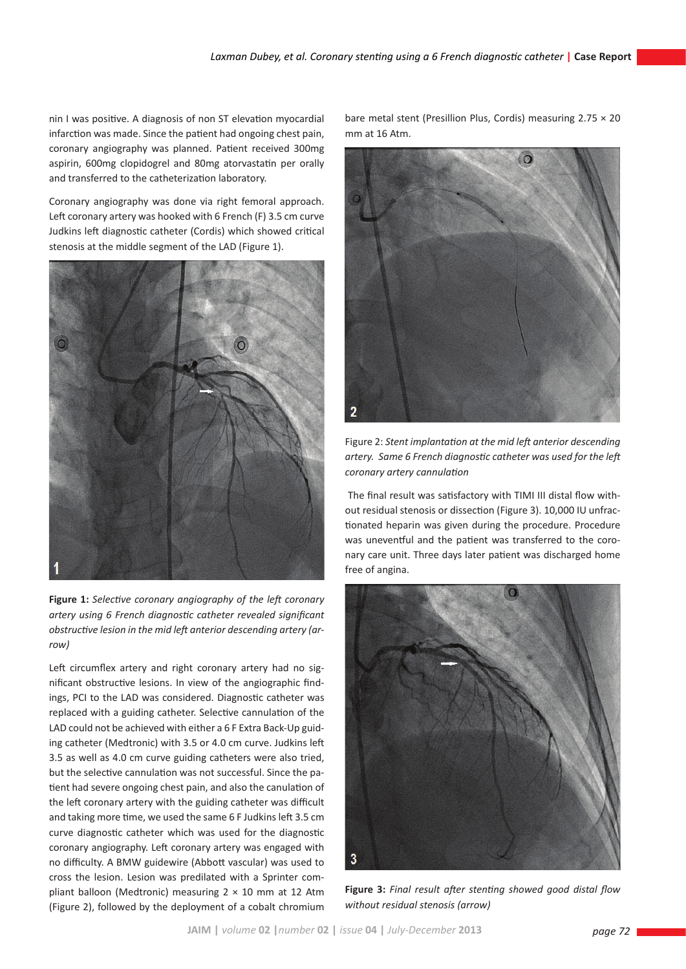nin I was positive. A diagnosis of non ST elevation myocardial infarction was made. Since the patient had ongoing chest pain, coronary angiography was planned. Patient received 300mg aspirin, 600mg clopidogrel and 80mg atorvastatin per orally and transferred to the catheterization laboratory.

Coronary angiography was done via right femoral approach. Left coronary artery was hooked with 6 French (F) 3.5 cm curve Judkins left diagnostic catheter (Cordis) which showed critical stenosis at the middle segment of the LAD (Figure 1).



**Figure 1:** *Selective coronary angiography of the left coronary artery using 6 French diagnostic catheter revealed significant obstructive lesion in the mid left anterior descending artery (arrow)*

Left circumflex artery and right coronary artery had no significant obstructive lesions. In view of the angiographic findings, PCI to the LAD was considered. Diagnostic catheter was replaced with a guiding catheter. Selective cannulation of the LAD could not be achieved with either a 6 F Extra Back-Up guiding catheter (Medtronic) with 3.5 or 4.0 cm curve. Judkins left 3.5 as well as 4.0 cm curve guiding catheters were also tried, but the selective cannulation was not successful. Since the patient had severe ongoing chest pain, and also the canulation of the left coronary artery with the guiding catheter was difficult and taking more time, we used the same 6 F Judkins left 3.5 cm curve diagnostic catheter which was used for the diagnostic coronary angiography. Left coronary artery was engaged with no difficulty. A BMW guidewire (Abbott vascular) was used to cross the lesion. Lesion was predilated with a Sprinter compliant balloon (Medtronic) measuring  $2 \times 10$  mm at 12 Atm (Figure 2), followed by the deployment of a cobalt chromium

bare metal stent (Presillion Plus, Cordis) measuring  $2.75 \times 20$ mm at 16 Atm.



Figure 2: *Stent implantation at the mid left anterior descending artery. Same 6 French diagnostic catheter was used for the left coronary artery cannulation*

 The final result was satisfactory with TIMI III distal flow without residual stenosis or dissection (Figure 3). 10,000 IU unfractionated heparin was given during the procedure. Procedure was uneventful and the patient was transferred to the coronary care unit. Three days later patient was discharged home free of angina.



**Figure 3:** *Final result after stenting showed good distal flow without residual stenosis (arrow)*